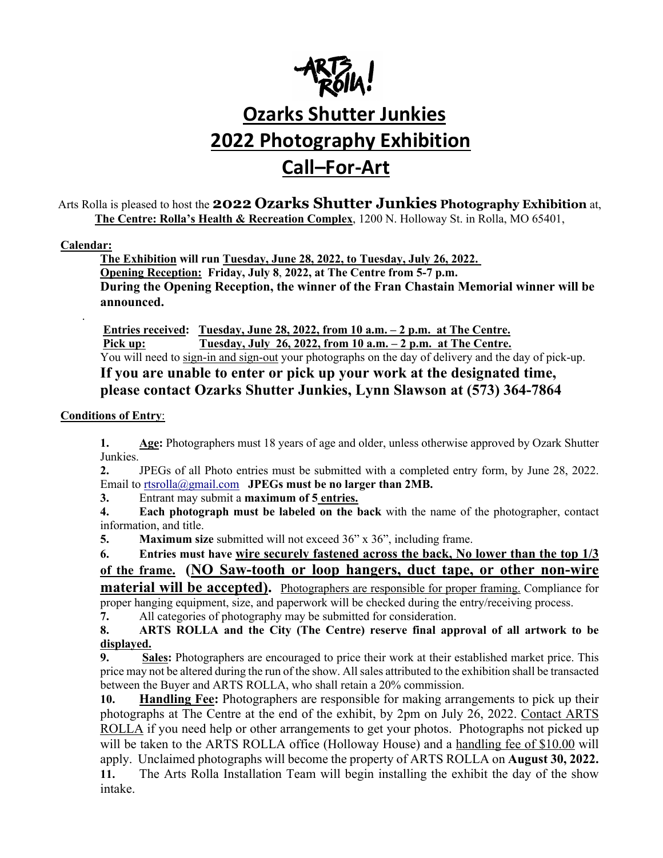

# **Ozarks Shutter Junkies 2022 Photography Exhibition Call–For-Art**

Arts Rolla is pleased to host the **2022 Ozarks Shutter Junkies Photography Exhibition** at, **The Centre: Rolla's Health & Recreation Complex**, 1200 N. Holloway St. in Rolla, MO 65401,

#### **Calendar:**

.

**The Exhibition will run Tuesday, June 28, 2022, to Tuesday, July 26, 2022. Opening Reception: Friday, July 8**, **2022, at The Centre from 5-7 p.m. During the Opening Reception, the winner of the Fran Chastain Memorial winner will be announced.**

**Entries received: Tuesday, June 28, 2022, from 10 a.m. – 2 p.m. at The Centre. Pick up: Tuesday, July 26, 2022, from 10 a.m. – 2 p.m. at The Centre.** You will need to sign-in and sign-out your photographs on the day of delivery and the day of pick-up. **If you are unable to enter or pick up your work at the designated time, please contact Ozarks Shutter Junkies, Lynn Slawson at (573) 364-7864**

#### **Conditions of Entry**:

**1. Age:** Photographers must 18 years of age and older, unless otherwise approved by Ozark Shutter Junkies.

**2.** JPEGs of all Photo entries must be submitted with a completed entry form, by June 28, 2022. Email to rtsrolla@gmail.com **JPEGs must be no larger than 2MB.**

**3.** Entrant may submit a **maximum of 5 entries.** 

**4. Each photograph must be labeled on the back** with the name of the photographer, contact information, and title.

**5. Maximum size** submitted will not exceed 36" x 36", including frame.

**6. Entries must have wire securely fastened across the back, No lower than the top 1/3 of the frame. (NO Saw-tooth or loop hangers, duct tape, or other non-wire** 

**material will be accepted).** Photographers are responsible for proper framing. Compliance for proper hanging equipment, size, and paperwork will be checked during the entry/receiving process.

**7.** All categories of photography may be submitted for consideration.

**8. ARTS ROLLA and the City (The Centre) reserve final approval of all artwork to be displayed.**

**9. Sales:** Photographers are encouraged to price their work at their established market price. This price may not be altered during the run of the show. All sales attributed to the exhibition shall be transacted between the Buyer and ARTS ROLLA, who shall retain a 20% commission.

**10. Handling Fee:** Photographers are responsible for making arrangements to pick up their photographs at The Centre at the end of the exhibit, by 2pm on July 26, 2022. Contact ARTS ROLLA if you need help or other arrangements to get your photos. Photographs not picked up will be taken to the ARTS ROLLA office (Holloway House) and a handling fee of \$10.00 will apply. Unclaimed photographs will become the property of ARTS ROLLA on **August 30, 2022.**

**11.** The Arts Rolla Installation Team will begin installing the exhibit the day of the show intake.